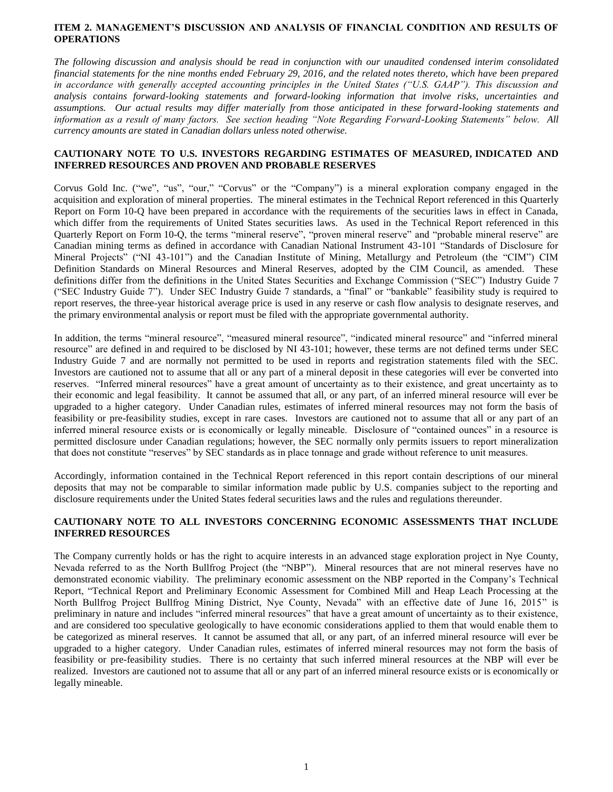# **ITEM 2. MANAGEMENT'S DISCUSSION AND ANALYSIS OF FINANCIAL CONDITION AND RESULTS OF OPERATIONS**

*The following discussion and analysis should be read in conjunction with our unaudited condensed interim consolidated financial statements for the nine months ended February 29, 2016, and the related notes thereto, which have been prepared in accordance with generally accepted accounting principles in the United States ("U.S. GAAP"). This discussion and analysis contains forward-looking statements and forward-looking information that involve risks, uncertainties and assumptions. Our actual results may differ materially from those anticipated in these forward-looking statements and information as a result of many factors. See section heading "Note Regarding Forward-Looking Statements" below. All currency amounts are stated in Canadian dollars unless noted otherwise.*

## **CAUTIONARY NOTE TO U.S. INVESTORS REGARDING ESTIMATES OF MEASURED, INDICATED AND INFERRED RESOURCES AND PROVEN AND PROBABLE RESERVES**

Corvus Gold Inc. ("we", "us", "our," "Corvus" or the "Company") is a mineral exploration company engaged in the acquisition and exploration of mineral properties. The mineral estimates in the Technical Report referenced in this Quarterly Report on Form 10-Q have been prepared in accordance with the requirements of the securities laws in effect in Canada, which differ from the requirements of United States securities laws. As used in the Technical Report referenced in this Quarterly Report on Form 10-Q, the terms "mineral reserve", "proven mineral reserve" and "probable mineral reserve" are Canadian mining terms as defined in accordance with Canadian National Instrument 43-101 "Standards of Disclosure for Mineral Projects" ("NI 43-101") and the Canadian Institute of Mining, Metallurgy and Petroleum (the "CIM") CIM Definition Standards on Mineral Resources and Mineral Reserves, adopted by the CIM Council, as amended. These definitions differ from the definitions in the United States Securities and Exchange Commission ("SEC") Industry Guide 7 ("SEC Industry Guide 7"). Under SEC Industry Guide 7 standards, a "final" or "bankable" feasibility study is required to report reserves, the three-year historical average price is used in any reserve or cash flow analysis to designate reserves, and the primary environmental analysis or report must be filed with the appropriate governmental authority.

In addition, the terms "mineral resource", "measured mineral resource", "indicated mineral resource" and "inferred mineral resource" are defined in and required to be disclosed by NI 43-101; however, these terms are not defined terms under SEC Industry Guide 7 and are normally not permitted to be used in reports and registration statements filed with the SEC. Investors are cautioned not to assume that all or any part of a mineral deposit in these categories will ever be converted into reserves. "Inferred mineral resources" have a great amount of uncertainty as to their existence, and great uncertainty as to their economic and legal feasibility. It cannot be assumed that all, or any part, of an inferred mineral resource will ever be upgraded to a higher category. Under Canadian rules, estimates of inferred mineral resources may not form the basis of feasibility or pre-feasibility studies, except in rare cases. Investors are cautioned not to assume that all or any part of an inferred mineral resource exists or is economically or legally mineable. Disclosure of "contained ounces" in a resource is permitted disclosure under Canadian regulations; however, the SEC normally only permits issuers to report mineralization that does not constitute "reserves" by SEC standards as in place tonnage and grade without reference to unit measures.

Accordingly, information contained in the Technical Report referenced in this report contain descriptions of our mineral deposits that may not be comparable to similar information made public by U.S. companies subject to the reporting and disclosure requirements under the United States federal securities laws and the rules and regulations thereunder.

# **CAUTIONARY NOTE TO ALL INVESTORS CONCERNING ECONOMIC ASSESSMENTS THAT INCLUDE INFERRED RESOURCES**

The Company currently holds or has the right to acquire interests in an advanced stage exploration project in Nye County, Nevada referred to as the North Bullfrog Project (the "NBP"). Mineral resources that are not mineral reserves have no demonstrated economic viability. The preliminary economic assessment on the NBP reported in the Company's Technical Report, "Technical Report and Preliminary Economic Assessment for Combined Mill and Heap Leach Processing at the North Bullfrog Project Bullfrog Mining District, Nye County, Nevada" with an effective date of June 16, 2015" is preliminary in nature and includes "inferred mineral resources" that have a great amount of uncertainty as to their existence, and are considered too speculative geologically to have economic considerations applied to them that would enable them to be categorized as mineral reserves. It cannot be assumed that all, or any part, of an inferred mineral resource will ever be upgraded to a higher category. Under Canadian rules, estimates of inferred mineral resources may not form the basis of feasibility or pre-feasibility studies. There is no certainty that such inferred mineral resources at the NBP will ever be realized. Investors are cautioned not to assume that all or any part of an inferred mineral resource exists or is economically or legally mineable.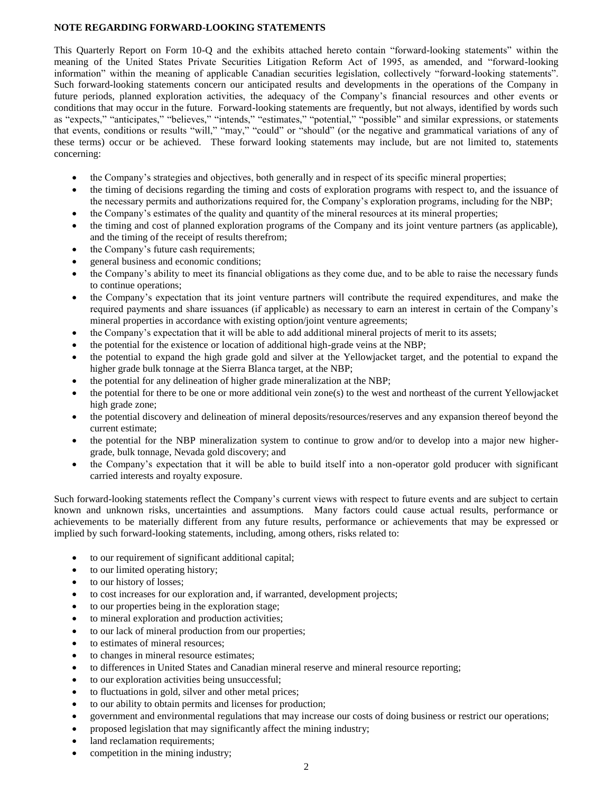# **NOTE REGARDING FORWARD-LOOKING STATEMENTS**

This Quarterly Report on Form 10-Q and the exhibits attached hereto contain "forward-looking statements" within the meaning of the United States Private Securities Litigation Reform Act of 1995, as amended, and "forward-looking information" within the meaning of applicable Canadian securities legislation, collectively "forward-looking statements". Such forward-looking statements concern our anticipated results and developments in the operations of the Company in future periods, planned exploration activities, the adequacy of the Company's financial resources and other events or conditions that may occur in the future. Forward-looking statements are frequently, but not always, identified by words such as "expects," "anticipates," "believes," "intends," "estimates," "potential," "possible" and similar expressions, or statements that events, conditions or results "will," "may," "could" or "should" (or the negative and grammatical variations of any of these terms) occur or be achieved. These forward looking statements may include, but are not limited to, statements concerning:

- the Company's strategies and objectives, both generally and in respect of its specific mineral properties;
- the timing of decisions regarding the timing and costs of exploration programs with respect to, and the issuance of the necessary permits and authorizations required for, the Company's exploration programs, including for the NBP;
- the Company's estimates of the quality and quantity of the mineral resources at its mineral properties;
- the timing and cost of planned exploration programs of the Company and its joint venture partners (as applicable), and the timing of the receipt of results therefrom;
- the Company's future cash requirements;
- general business and economic conditions;
- the Company's ability to meet its financial obligations as they come due, and to be able to raise the necessary funds to continue operations;
- the Company's expectation that its joint venture partners will contribute the required expenditures, and make the required payments and share issuances (if applicable) as necessary to earn an interest in certain of the Company's mineral properties in accordance with existing option/joint venture agreements;
- the Company's expectation that it will be able to add additional mineral projects of merit to its assets;
- the potential for the existence or location of additional high-grade veins at the NBP;
- the potential to expand the high grade gold and silver at the Yellowjacket target, and the potential to expand the higher grade bulk tonnage at the Sierra Blanca target, at the NBP;
- the potential for any delineation of higher grade mineralization at the NBP;
- the potential for there to be one or more additional vein zone(s) to the west and northeast of the current Yellowjacket high grade zone;
- the potential discovery and delineation of mineral deposits/resources/reserves and any expansion thereof beyond the current estimate;
- the potential for the NBP mineralization system to continue to grow and/or to develop into a major new highergrade, bulk tonnage, Nevada gold discovery; and
- the Company's expectation that it will be able to build itself into a non-operator gold producer with significant carried interests and royalty exposure.

Such forward-looking statements reflect the Company's current views with respect to future events and are subject to certain known and unknown risks, uncertainties and assumptions. Many factors could cause actual results, performance or achievements to be materially different from any future results, performance or achievements that may be expressed or implied by such forward-looking statements, including, among others, risks related to:

- to our requirement of significant additional capital;
- to our limited operating history;
- to our history of losses;
- to cost increases for our exploration and, if warranted, development projects;
- to our properties being in the exploration stage;
- to mineral exploration and production activities;
- to our lack of mineral production from our properties;
- to estimates of mineral resources;
- to changes in mineral resource estimates;
- to differences in United States and Canadian mineral reserve and mineral resource reporting;
- to our exploration activities being unsuccessful;
- to fluctuations in gold, silver and other metal prices;
- to our ability to obtain permits and licenses for production;
- government and environmental regulations that may increase our costs of doing business or restrict our operations;
- proposed legislation that may significantly affect the mining industry;
- land reclamation requirements;
- competition in the mining industry;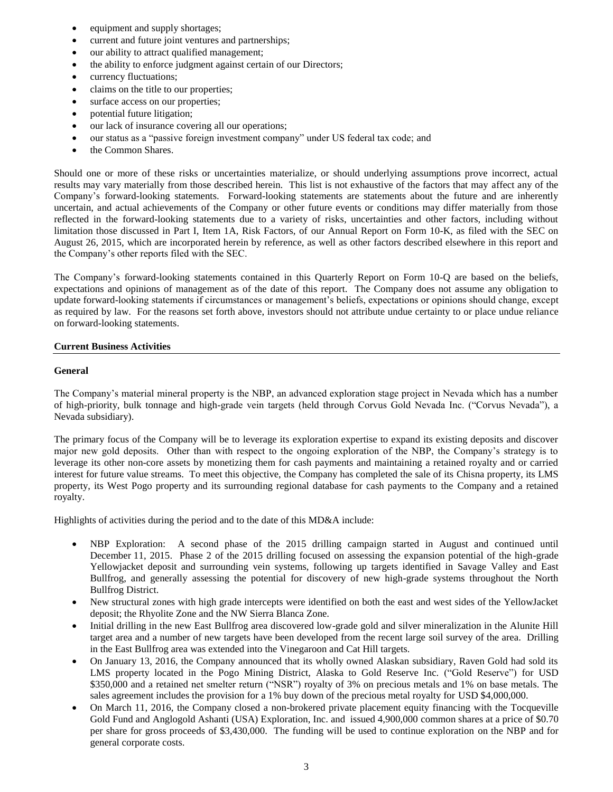- equipment and supply shortages;
- current and future joint ventures and partnerships;
- our ability to attract qualified management;
- the ability to enforce judgment against certain of our Directors;
- currency fluctuations;
- claims on the title to our properties;
- surface access on our properties;
- potential future litigation;
- our lack of insurance covering all our operations;
- our status as a "passive foreign investment company" under US federal tax code; and
- the Common Shares.

Should one or more of these risks or uncertainties materialize, or should underlying assumptions prove incorrect, actual results may vary materially from those described herein. This list is not exhaustive of the factors that may affect any of the Company's forward-looking statements. Forward-looking statements are statements about the future and are inherently uncertain, and actual achievements of the Company or other future events or conditions may differ materially from those reflected in the forward-looking statements due to a variety of risks, uncertainties and other factors, including without limitation those discussed in Part I, Item 1A, Risk Factors, of our Annual Report on Form 10-K, as filed with the SEC on August 26, 2015, which are incorporated herein by reference, as well as other factors described elsewhere in this report and the Company's other reports filed with the SEC.

The Company's forward-looking statements contained in this Quarterly Report on Form 10-Q are based on the beliefs, expectations and opinions of management as of the date of this report. The Company does not assume any obligation to update forward-looking statements if circumstances or management's beliefs, expectations or opinions should change, except as required by law. For the reasons set forth above, investors should not attribute undue certainty to or place undue reliance on forward-looking statements.

# **Current Business Activities**

## **General**

The Company's material mineral property is the NBP, an advanced exploration stage project in Nevada which has a number of high-priority, bulk tonnage and high-grade vein targets (held through Corvus Gold Nevada Inc. ("Corvus Nevada"), a Nevada subsidiary).

The primary focus of the Company will be to leverage its exploration expertise to expand its existing deposits and discover major new gold deposits. Other than with respect to the ongoing exploration of the NBP, the Company's strategy is to leverage its other non-core assets by monetizing them for cash payments and maintaining a retained royalty and or carried interest for future value streams. To meet this objective, the Company has completed the sale of its Chisna property, its LMS property, its West Pogo property and its surrounding regional database for cash payments to the Company and a retained royalty.

Highlights of activities during the period and to the date of this MD&A include:

- NBP Exploration: A second phase of the 2015 drilling campaign started in August and continued until December 11, 2015. Phase 2 of the 2015 drilling focused on assessing the expansion potential of the high-grade Yellowjacket deposit and surrounding vein systems, following up targets identified in Savage Valley and East Bullfrog, and generally assessing the potential for discovery of new high-grade systems throughout the North Bullfrog District.
- New structural zones with high grade intercepts were identified on both the east and west sides of the YellowJacket deposit; the Rhyolite Zone and the NW Sierra Blanca Zone.
- Initial drilling in the new East Bullfrog area discovered low-grade gold and silver mineralization in the Alunite Hill target area and a number of new targets have been developed from the recent large soil survey of the area. Drilling in the East Bullfrog area was extended into the Vinegaroon and Cat Hill targets.
- On January 13, 2016, the Company announced that its wholly owned Alaskan subsidiary, Raven Gold had sold its LMS property located in the Pogo Mining District, Alaska to Gold Reserve Inc. ("Gold Reserve") for USD \$350,000 and a retained net smelter return ("NSR") royalty of 3% on precious metals and 1% on base metals. The sales agreement includes the provision for a 1% buy down of the precious metal royalty for USD \$4,000,000.
- On March 11, 2016, the Company closed a non-brokered private placement equity financing with the Tocqueville Gold Fund and Anglogold Ashanti (USA) Exploration, Inc. and issued 4,900,000 common shares at a price of \$0.70 per share for gross proceeds of \$3,430,000. The funding will be used to continue exploration on the NBP and for general corporate costs.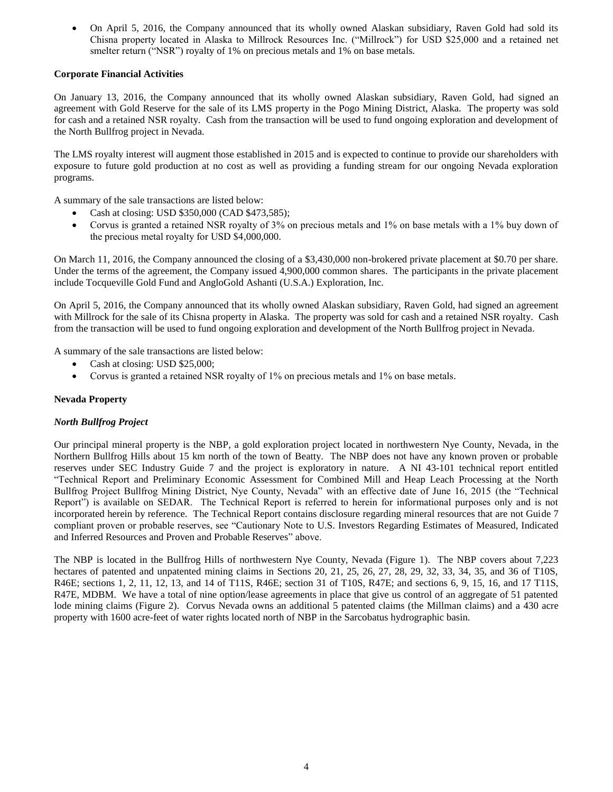On April 5, 2016, the Company announced that its wholly owned Alaskan subsidiary, Raven Gold had sold its Chisna property located in Alaska to Millrock Resources Inc. ("Millrock") for USD \$25,000 and a retained net smelter return ("NSR") royalty of 1% on precious metals and 1% on base metals.

## **Corporate Financial Activities**

On January 13, 2016, the Company announced that its wholly owned Alaskan subsidiary, Raven Gold, had signed an agreement with Gold Reserve for the sale of its LMS property in the Pogo Mining District, Alaska. The property was sold for cash and a retained NSR royalty. Cash from the transaction will be used to fund ongoing exploration and development of the North Bullfrog project in Nevada.

The LMS royalty interest will augment those established in 2015 and is expected to continue to provide our shareholders with exposure to future gold production at no cost as well as providing a funding stream for our ongoing Nevada exploration programs.

A summary of the sale transactions are listed below:

- Cash at closing: USD \$350,000 (CAD \$473,585);
- Corvus is granted a retained NSR royalty of 3% on precious metals and 1% on base metals with a 1% buy down of the precious metal royalty for USD \$4,000,000.

On March 11, 2016, the Company announced the closing of a \$3,430,000 non-brokered private placement at \$0.70 per share. Under the terms of the agreement, the Company issued 4,900,000 common shares. The participants in the private placement include Tocqueville Gold Fund and AngloGold Ashanti (U.S.A.) Exploration, Inc.

On April 5, 2016, the Company announced that its wholly owned Alaskan subsidiary, Raven Gold, had signed an agreement with Millrock for the sale of its Chisna property in Alaska. The property was sold for cash and a retained NSR royalty. Cash from the transaction will be used to fund ongoing exploration and development of the North Bullfrog project in Nevada.

A summary of the sale transactions are listed below:

- Cash at closing: USD \$25,000;
- Corvus is granted a retained NSR royalty of 1% on precious metals and 1% on base metals.

## **Nevada Property**

## *North Bullfrog Project*

Our principal mineral property is the NBP, a gold exploration project located in northwestern Nye County, Nevada, in the Northern Bullfrog Hills about 15 km north of the town of Beatty. The NBP does not have any known proven or probable reserves under SEC Industry Guide 7 and the project is exploratory in nature. A NI 43-101 technical report entitled "Technical Report and Preliminary Economic Assessment for Combined Mill and Heap Leach Processing at the North Bullfrog Project Bullfrog Mining District, Nye County, Nevada" with an effective date of June 16, 2015 (the "Technical Report") is available on SEDAR. The Technical Report is referred to herein for informational purposes only and is not incorporated herein by reference. The Technical Report contains disclosure regarding mineral resources that are not Guide 7 compliant proven or probable reserves, see "Cautionary Note to U.S. Investors Regarding Estimates of Measured, Indicated and Inferred Resources and Proven and Probable Reserves" above.

The NBP is located in the Bullfrog Hills of northwestern Nye County, Nevada (Figure 1). The NBP covers about 7,223 hectares of patented and unpatented mining claims in Sections 20, 21, 25, 26, 27, 28, 29, 32, 33, 34, 35, and 36 of T10S, R46E; sections 1, 2, 11, 12, 13, and 14 of T11S, R46E; section 31 of T10S, R47E; and sections 6, 9, 15, 16, and 17 T11S, R47E, MDBM. We have a total of nine option/lease agreements in place that give us control of an aggregate of 51 patented lode mining claims (Figure 2). Corvus Nevada owns an additional 5 patented claims (the Millman claims) and a 430 acre property with 1600 acre-feet of water rights located north of NBP in the Sarcobatus hydrographic basin.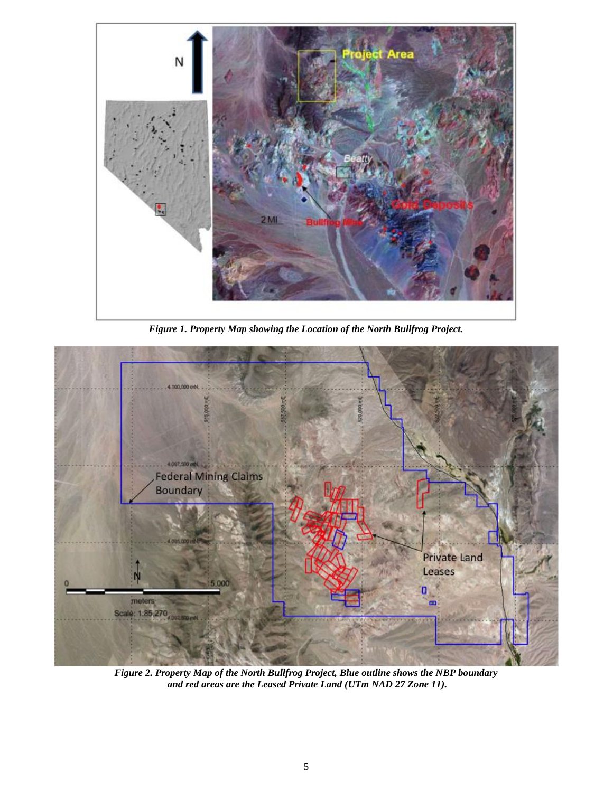

*Figure 1. Property Map showing the Location of the North Bullfrog Project.*



*Figure 2. Property Map of the North Bullfrog Project, Blue outline shows the NBP boundary and red areas are the Leased Private Land (UTm NAD 27 Zone 11).*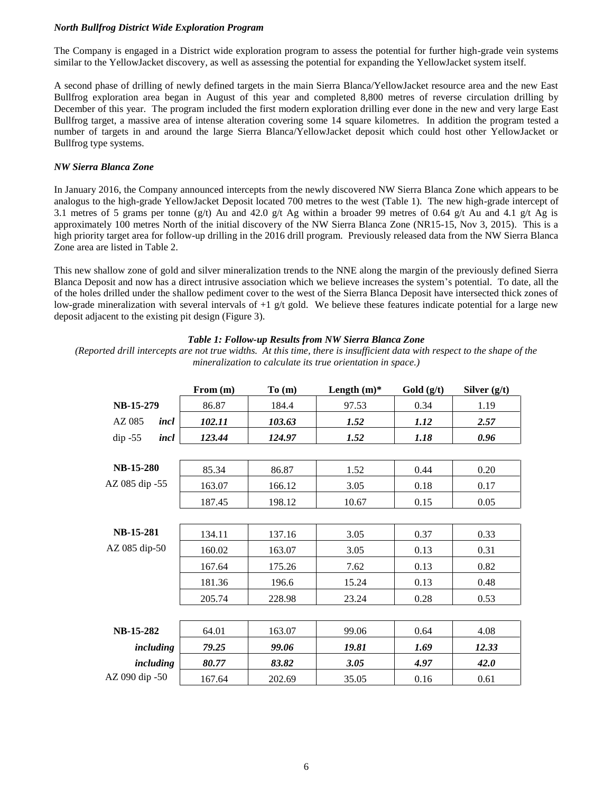# *North Bullfrog District Wide Exploration Program*

The Company is engaged in a District wide exploration program to assess the potential for further high-grade vein systems similar to the YellowJacket discovery, as well as assessing the potential for expanding the YellowJacket system itself.

A second phase of drilling of newly defined targets in the main Sierra Blanca/YellowJacket resource area and the new East Bullfrog exploration area began in August of this year and completed 8,800 metres of reverse circulation drilling by December of this year. The program included the first modern exploration drilling ever done in the new and very large East Bullfrog target, a massive area of intense alteration covering some 14 square kilometres. In addition the program tested a number of targets in and around the large Sierra Blanca/YellowJacket deposit which could host other YellowJacket or Bullfrog type systems.

## *NW Sierra Blanca Zone*

In January 2016, the Company announced intercepts from the newly discovered NW Sierra Blanca Zone which appears to be analogus to the high-grade YellowJacket Deposit located 700 metres to the west (Table 1). The new high-grade intercept of 3.1 metres of 5 grams per tonne (g/t) Au and 42.0 g/t Ag within a broader 99 metres of 0.64 g/t Au and 4.1 g/t Ag is approximately 100 metres North of the initial discovery of the NW Sierra Blanca Zone (NR15-15, Nov 3, 2015). This is a high priority target area for follow-up drilling in the 2016 drill program. Previously released data from the NW Sierra Blanca Zone area are listed in Table 2.

This new shallow zone of gold and silver mineralization trends to the NNE along the margin of the previously defined Sierra Blanca Deposit and now has a direct intrusive association which we believe increases the system's potential. To date, all the of the holes drilled under the shallow pediment cover to the west of the Sierra Blanca Deposit have intersected thick zones of low-grade mineralization with several intervals of  $+1$  g/t gold. We believe these features indicate potential for a large new deposit adjacent to the existing pit design (Figure 3).

|                    | From (m) | To(m)  | Length $(m)^*$ | Gold $(g/t)$ | Silver $(g/t)$ |
|--------------------|----------|--------|----------------|--------------|----------------|
| NB-15-279          | 86.87    | 184.4  | 97.53          | 0.34         | 1.19           |
| AZ 085<br>incl     | 102.11   | 103.63 | 1.52           | 1.12         | 2.57           |
| $dip - 55$<br>incl | 123.44   | 124.97 | 1.52           | 1.18         | 0.96           |
|                    |          |        |                |              |                |
| <b>NB-15-280</b>   | 85.34    | 86.87  | 1.52           | 0.44         | 0.20           |
| AZ 085 dip -55     | 163.07   | 166.12 | 3.05           | 0.18         | 0.17           |
|                    | 187.45   | 198.12 | 10.67          | 0.15         | 0.05           |
|                    |          |        |                |              |                |
| <b>NB-15-281</b>   | 134.11   | 137.16 | 3.05           | 0.37         | 0.33           |
| AZ 085 dip-50      | 160.02   | 163.07 | 3.05           | 0.13         | 0.31           |
|                    | 167.64   | 175.26 | 7.62           | 0.13         | 0.82           |
|                    | 181.36   | 196.6  | 15.24          | 0.13         | 0.48           |
|                    | 205.74   | 228.98 | 23.24          | 0.28         | 0.53           |
|                    |          |        |                |              |                |
| NB-15-282          | 64.01    | 163.07 | 99.06          | 0.64         | 4.08           |
| including          | 79.25    | 99.06  | 19.81          | 1.69         | 12.33          |
| including          | 80.77    | 83.82  | 3.05           | 4.97         | 42.0           |
| AZ 090 dip -50     | 167.64   | 202.69 | 35.05          | 0.16         | 0.61           |

*Table 1: Follow-up Results from NW Sierra Blanca Zone*

*(Reported drill intercepts are not true widths. At this time, there is insufficient data with respect to the shape of the mineralization to calculate its true orientation in space.)*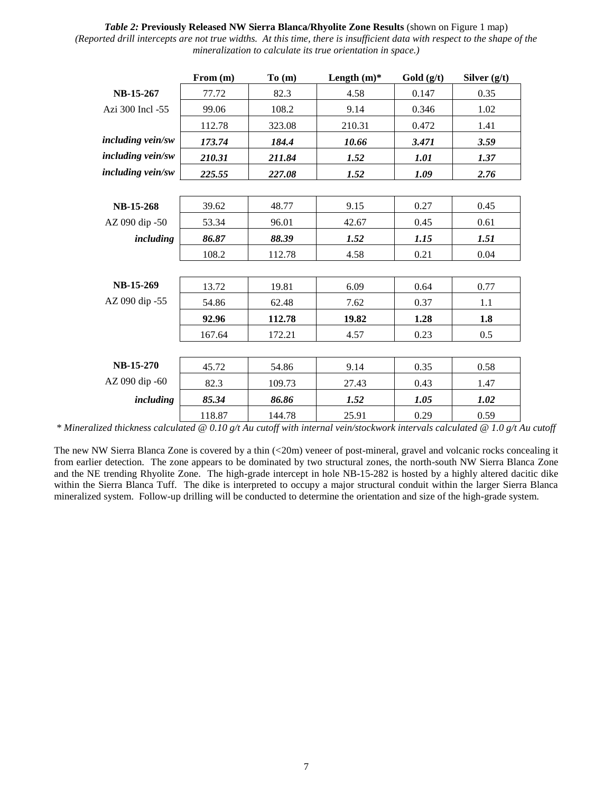*Table 2:* **Previously Released NW Sierra Blanca/Rhyolite Zone Results** (shown on Figure 1 map) *(Reported drill intercepts are not true widths. At this time, there is insufficient data with respect to the shape of the mineralization to calculate its true orientation in space.)*

|                   | From (m) | To(m)  | Length $(m)$ * | Gold (g/t) | Silver $(g/t)$ |
|-------------------|----------|--------|----------------|------------|----------------|
| NB-15-267         | 77.72    | 82.3   | 4.58           | 0.147      | 0.35           |
| Azi 300 Incl -55  | 99.06    | 108.2  | 9.14           | 0.346      | 1.02           |
|                   | 112.78   | 323.08 | 210.31         | 0.472      | 1.41           |
| including vein/sw | 173.74   | 184.4  | 10.66          | 3.471      | 3.59           |
| including vein/sw | 210.31   | 211.84 | 1.52           | 1.01       | 1.37           |
| including vein/sw | 225.55   | 227.08 | 1.52           | 1.09       | 2.76           |
|                   |          |        |                |            |                |
| <b>NB-15-268</b>  | 39.62    | 48.77  | 9.15           | 0.27       | 0.45           |
| AZ 090 dip -50    | 53.34    | 96.01  | 42.67          | 0.45       | 0.61           |
| including         | 86.87    | 88.39  | 1.52           | 1.15       | 1.51           |
|                   | 108.2    | 112.78 | 4.58           | 0.21       | 0.04           |
|                   |          |        |                |            |                |
| NB-15-269         | 13.72    | 19.81  | 6.09           | 0.64       | 0.77           |
| AZ 090 dip -55    | 54.86    | 62.48  | 7.62           | 0.37       | 1.1            |
|                   | 92.96    | 112.78 | 19.82          | 1.28       | 1.8            |
|                   | 167.64   | 172.21 | 4.57           | 0.23       | 0.5            |
|                   |          |        |                |            |                |
| NB-15-270         | 45.72    | 54.86  | 9.14           | 0.35       | 0.58           |
| AZ 090 dip -60    | 82.3     | 109.73 | 27.43          | 0.43       | 1.47           |
| including         | 85.34    | 86.86  | 1.52           | 1.05       | 1.02           |
|                   | 118.87   | 144.78 | 25.91          | 0.29       | 0.59           |

*\* Mineralized thickness calculated @ 0.10 g/t Au cutoff with internal vein/stockwork intervals calculated @ 1.0 g/t Au cutoff*

The new NW Sierra Blanca Zone is covered by a thin (<20m) veneer of post-mineral, gravel and volcanic rocks concealing it from earlier detection. The zone appears to be dominated by two structural zones, the north-south NW Sierra Blanca Zone and the NE trending Rhyolite Zone. The high-grade intercept in hole NB-15-282 is hosted by a highly altered dacitic dike within the Sierra Blanca Tuff. The dike is interpreted to occupy a major structural conduit within the larger Sierra Blanca mineralized system. Follow-up drilling will be conducted to determine the orientation and size of the high-grade system.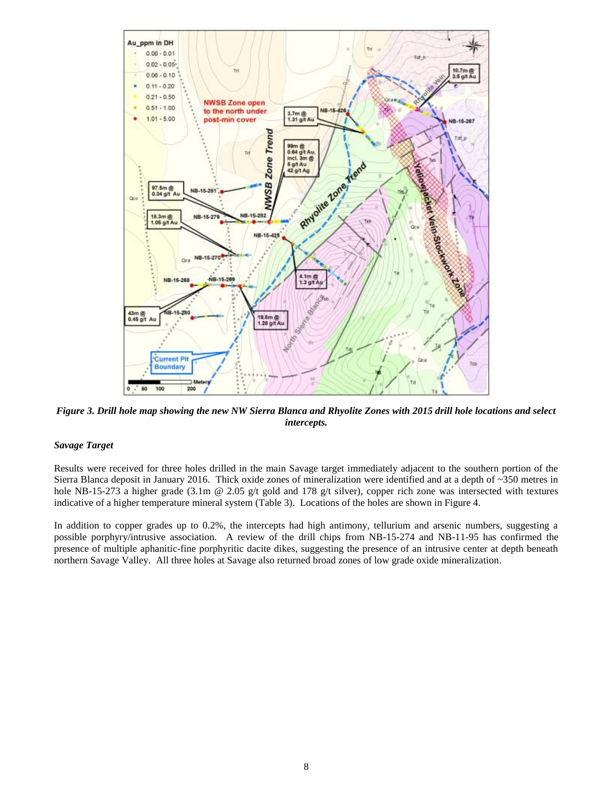

*Figure 3. Drill hole map showing the new NW Sierra Blanca and Rhyolite Zones with 2015 drill hole locations and select intercepts.*

# *Savage Target*

Results were received for three holes drilled in the main Savage target immediately adjacent to the southern portion of the Sierra Blanca deposit in January 2016. Thick oxide zones of mineralization were identified and at a depth of ~350 metres in hole NB-15-273 a higher grade (3.1m  $\omega$  2.05 g/t gold and 178 g/t silver), copper rich zone was intersected with textures indicative of a higher temperature mineral system (Table 3). Locations of the holes are shown in Figure 4.

In addition to copper grades up to 0.2%, the intercepts had high antimony, tellurium and arsenic numbers, suggesting a possible porphyry/intrusive association. A review of the drill chips from NB-15-274 and NB-11-95 has confirmed the presence of multiple aphanitic-fine porphyritic dacite dikes, suggesting the presence of an intrusive center at depth beneath northern Savage Valley. All three holes at Savage also returned broad zones of low grade oxide mineralization.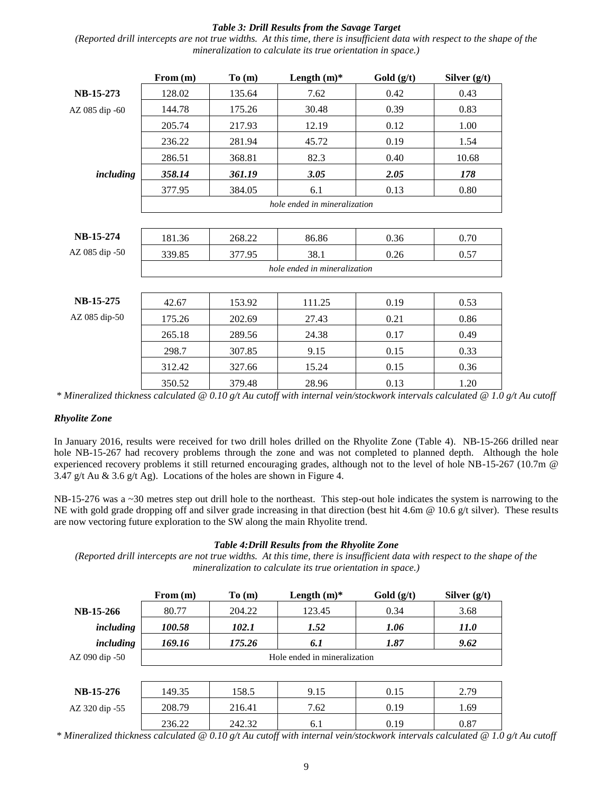# *Table 3: Drill Results from the Savage Target*

*(Reported drill intercepts are not true widths. At this time, there is insufficient data with respect to the shape of the mineralization to calculate its true orientation in space.)*

|                  | From (m)                     | To(m)  | Length $(m)^*$               | Gold (g/t) | Silver $(g/t)$ |  |
|------------------|------------------------------|--------|------------------------------|------------|----------------|--|
| NB-15-273        | 128.02                       | 135.64 | 7.62                         | 0.42       | 0.43           |  |
| AZ 085 dip -60   | 144.78                       | 175.26 | 30.48                        | 0.39       | 0.83           |  |
|                  | 205.74                       | 217.93 | 12.19                        | 0.12       | 1.00           |  |
|                  | 236.22                       | 281.94 | 45.72                        | 0.19       | 1.54           |  |
|                  | 286.51                       | 368.81 | 82.3                         | 0.40       | 10.68          |  |
| <i>including</i> | 358.14                       | 361.19 | 3.05                         | 2.05       | 178            |  |
|                  | 377.95                       | 384.05 | 6.1                          | 0.13       | 0.80           |  |
|                  |                              |        | hole ended in mineralization |            |                |  |
|                  |                              |        |                              |            |                |  |
| NB-15-274        | 181.36                       | 268.22 | 86.86                        | 0.36       | 0.70           |  |
| AZ 085 dip -50   | 339.85                       | 377.95 | 38.1                         | 0.26       | 0.57           |  |
|                  | hole ended in mineralization |        |                              |            |                |  |
|                  |                              |        |                              |            |                |  |
| NB-15-275        | 42.67                        | 153.92 | 111.25                       | 0.19       | 0.53           |  |
| AZ 085 dip-50    | 175.26                       | 202.69 | 27.43                        | 0.21       | 0.86           |  |
|                  | 265.18                       | 289.56 | 24.38                        | 0.17       | 0.49           |  |
|                  | 298.7                        | 307.85 | 9.15                         | 0.15       | 0.33           |  |
|                  | 312.42                       | 327.66 | 15.24                        | 0.15       | 0.36           |  |
|                  | 350.52                       | 379.48 | 28.96                        | 0.13       | 1.20           |  |

*\* Mineralized thickness calculated @ 0.10 g/t Au cutoff with internal vein/stockwork intervals calculated @ 1.0 g/t Au cutoff*

## *Rhyolite Zone*

In January 2016, results were received for two drill holes drilled on the Rhyolite Zone (Table 4). NB-15-266 drilled near hole NB-15-267 had recovery problems through the zone and was not completed to planned depth. Although the hole experienced recovery problems it still returned encouraging grades, although not to the level of hole NB-15-267 (10.7m @ 3.47 g/t Au & 3.6 g/t Ag). Locations of the holes are shown in Figure 4.

NB-15-276 was a ~30 metres step out drill hole to the northeast. This step-out hole indicates the system is narrowing to the NE with gold grade dropping off and silver grade increasing in that direction (best hit 4.6m @ 10.6 g/t silver). These results are now vectoring future exploration to the SW along the main Rhyolite trend.

## *Table 4:Drill Results from the Rhyolite Zone*

*(Reported drill intercepts are not true widths. At this time, there is insufficient data with respect to the shape of the mineralization to calculate its true orientation in space.)*

|                  | From $(m)$                   | To(m)  | Length $(m)^*$ | Gold $(g/t)$ | Silver $(g/t)$ |  |
|------------------|------------------------------|--------|----------------|--------------|----------------|--|
| <b>NB-15-266</b> | 80.77                        | 204.22 | 123.45         | 0.34         | 3.68           |  |
| including        | 100.58                       | 102.1  | 1.52           | 1.06         | <i>11.0</i>    |  |
| including        | 169.16                       | 175.26 | 6.1            | 1.87         | 9.62           |  |
| AZ 090 dip -50   | Hole ended in mineralization |        |                |              |                |  |
|                  |                              |        |                |              |                |  |
| NB-15-276        | 149.35                       | 158.5  | 9.15           | 0.15         | 2.79           |  |
| AZ 320 dip -55   | 208.79                       | 216.41 | 7.62           | 0.19         | 1.69           |  |
|                  | 236.22                       | 242.32 | 6.1            | 0.19         | 0.87           |  |

*\* Mineralized thickness calculated @ 0.10 g/t Au cutoff with internal vein/stockwork intervals calculated @ 1.0 g/t Au cutoff*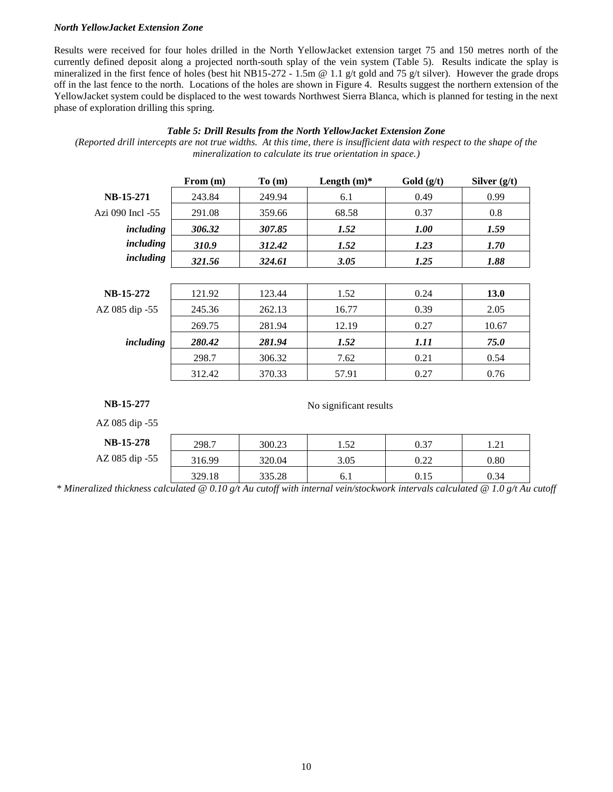## *North YellowJacket Extension Zone*

Results were received for four holes drilled in the North YellowJacket extension target 75 and 150 metres north of the currently defined deposit along a projected north-south splay of the vein system (Table 5). Results indicate the splay is mineralized in the first fence of holes (best hit NB15-272 - 1.5m  $\omega$  1.1 g/t gold and 75 g/t silver). However the grade drops off in the last fence to the north. Locations of the holes are shown in Figure 4. Results suggest the northern extension of the YellowJacket system could be displaced to the west towards Northwest Sierra Blanca, which is planned for testing in the next phase of exploration drilling this spring.

#### *Table 5: Drill Results from the North YellowJacket Extension Zone*

*(Reported drill intercepts are not true widths. At this time, there is insufficient data with respect to the shape of the mineralization to calculate its true orientation in space.)*

|                  | From (m) | To(m)  | Length $(m)$ * | Gold (g/t)  | Silver $(g/t)$ |
|------------------|----------|--------|----------------|-------------|----------------|
| <b>NB-15-271</b> | 243.84   | 249.94 | 6.1            | 0.49        | 0.99           |
| Azi 090 Incl -55 | 291.08   | 359.66 | 68.58          | 0.37        | 0.8            |
| including        | 306.32   | 307.85 | 1.52           | <b>1.00</b> | 1.59           |
| including        | 310.9    | 312.42 | 1.52           | 1.23        | 1.70           |
| including        | 321.56   | 324.61 | 3.05           | 1.25        | 1.88           |
|                  |          |        |                |             |                |
| <b>NB-15-272</b> | 121.92   | 123.44 | 1.52           | 0.24        | 13.0           |
| AZ 085 dip -55   | 245.36   | 262.13 | 16.77          | 0.39        | 2.05           |
|                  | 269.75   | 281.94 | 12.19          | 0.27        | 10.67          |
| including        | 280.42   | 281.94 | 1.52           | 1.11        | 75.0           |
|                  | 298.7    | 306.32 | 7.62           | 0.21        | 0.54           |
|                  | 312.42   | 370.33 | 57.91          | 0.27        | 0.76           |

**NB-15-277** No significant results

AZ 085 dip -55

| <b>NB-15-278</b> | 298.7  | 300.23 | 1.JZ | 0.37 | 1.41       |
|------------------|--------|--------|------|------|------------|
| AZ 085 dip -55   | 316.99 | 320.04 | 3.05 | 0.22 | $\rm 0.80$ |
|                  | 329.18 | 335.28 | ∪.⊥  | 0.15 | 0.34       |

*\* Mineralized thickness calculated @ 0.10 g/t Au cutoff with internal vein/stockwork intervals calculated @ 1.0 g/t Au cutoff*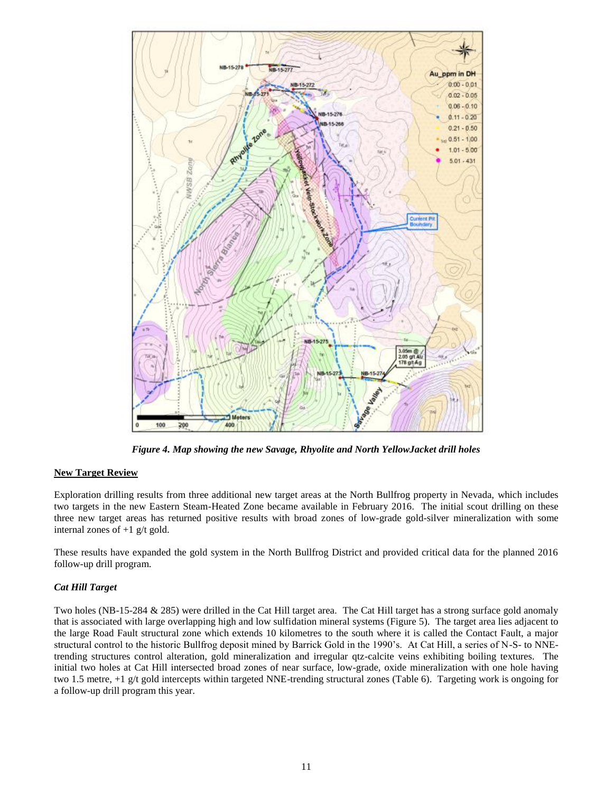

*Figure 4. Map showing the new Savage, Rhyolite and North YellowJacket drill holes*

# **New Target Review**

Exploration drilling results from three additional new target areas at the North Bullfrog property in Nevada, which includes two targets in the new Eastern Steam-Heated Zone became available in February 2016. The initial scout drilling on these three new target areas has returned positive results with broad zones of low-grade gold-silver mineralization with some internal zones of  $+1$  g/t gold.

These results have expanded the gold system in the North Bullfrog District and provided critical data for the planned 2016 follow-up drill program.

# *Cat Hill Target*

Two holes (NB-15-284 & 285) were drilled in the Cat Hill target area. The Cat Hill target has a strong surface gold anomaly that is associated with large overlapping high and low sulfidation mineral systems (Figure 5). The target area lies adjacent to the large Road Fault structural zone which extends 10 kilometres to the south where it is called the Contact Fault, a major structural control to the historic Bullfrog deposit mined by Barrick Gold in the 1990's. At Cat Hill, a series of N-S- to NNEtrending structures control alteration, gold mineralization and irregular qtz-calcite veins exhibiting boiling textures. The initial two holes at Cat Hill intersected broad zones of near surface, low-grade, oxide mineralization with one hole having two 1.5 metre, +1 g/t gold intercepts within targeted NNE-trending structural zones (Table 6). Targeting work is ongoing for a follow-up drill program this year.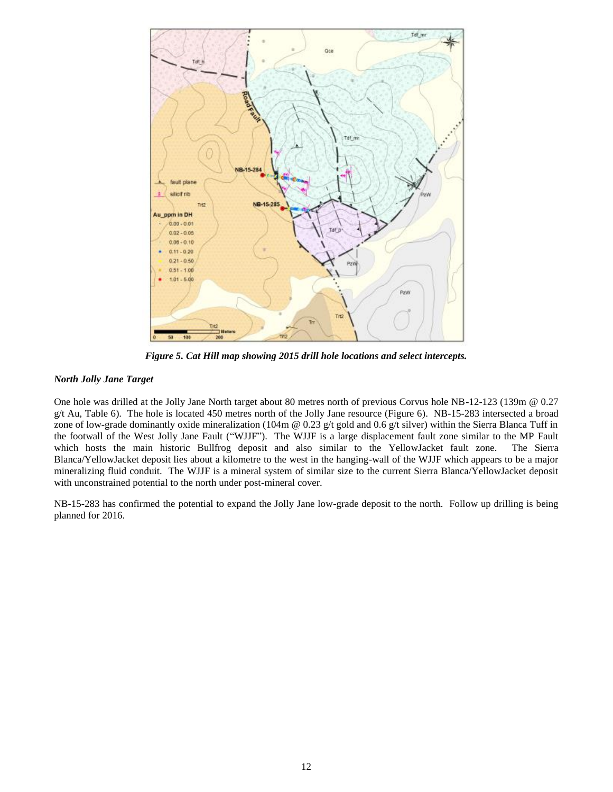

*Figure 5. Cat Hill map showing 2015 drill hole locations and select intercepts.*

# *North Jolly Jane Target*

One hole was drilled at the Jolly Jane North target about 80 metres north of previous Corvus hole NB-12-123 (139m @ 0.27 g/t Au, Table 6). The hole is located 450 metres north of the Jolly Jane resource (Figure 6). NB-15-283 intersected a broad zone of low-grade dominantly oxide mineralization (104m  $\omega$  0.23 g/t gold and 0.6 g/t silver) within the Sierra Blanca Tuff in the footwall of the West Jolly Jane Fault ("WJJF"). The WJJF is a large displacement fault zone similar to the MP Fault which hosts the main historic Bullfrog deposit and also similar to the YellowJacket fault zone. The Sierra Blanca/YellowJacket deposit lies about a kilometre to the west in the hanging-wall of the WJJF which appears to be a major mineralizing fluid conduit. The WJJF is a mineral system of similar size to the current Sierra Blanca/YellowJacket deposit with unconstrained potential to the north under post-mineral cover.

NB-15-283 has confirmed the potential to expand the Jolly Jane low-grade deposit to the north. Follow up drilling is being planned for 2016.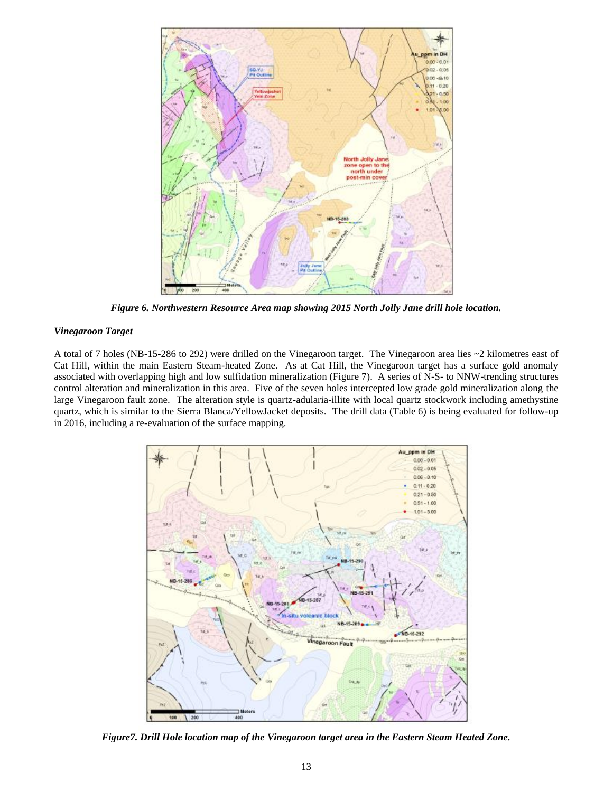

*Figure 6. Northwestern Resource Area map showing 2015 North Jolly Jane drill hole location.*

# *Vinegaroon Target*

A total of 7 holes (NB-15-286 to 292) were drilled on the Vinegaroon target. The Vinegaroon area lies ~2 kilometres east of Cat Hill, within the main Eastern Steam-heated Zone. As at Cat Hill, the Vinegaroon target has a surface gold anomaly associated with overlapping high and low sulfidation mineralization (Figure 7). A series of N-S- to NNW-trending structures control alteration and mineralization in this area. Five of the seven holes intercepted low grade gold mineralization along the large Vinegaroon fault zone. The alteration style is quartz-adularia-illite with local quartz stockwork including amethystine quartz, which is similar to the Sierra Blanca/YellowJacket deposits. The drill data (Table 6) is being evaluated for follow-up in 2016, including a re-evaluation of the surface mapping.



*Figure7. Drill Hole location map of the Vinegaroon target area in the Eastern Steam Heated Zone.*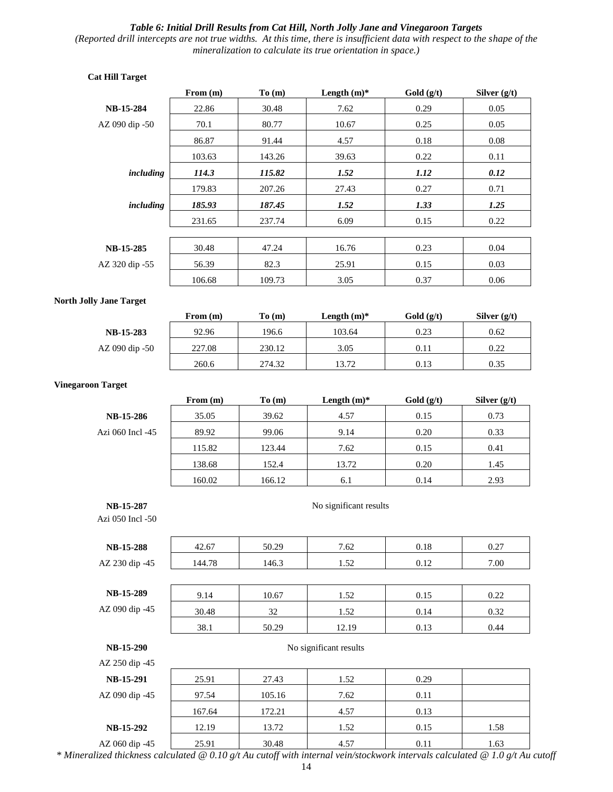# *Table 6: Initial Drill Results from Cat Hill, North Jolly Jane and Vinegaroon Targets (Reported drill intercepts are not true widths. At this time, there is insufficient data with respect to the shape of the*

*mineralization to calculate its true orientation in space.)*

# **Cat Hill Target**

|                                | From (m) | To(m)  | Length $(m)^*$         | Gold (g/t)   | Silver (g/t) |  |
|--------------------------------|----------|--------|------------------------|--------------|--------------|--|
| NB-15-284                      | 22.86    | 30.48  | 7.62                   | 0.29         | 0.05         |  |
| AZ 090 dip -50                 | 70.1     | 80.77  | 10.67                  | 0.25         | 0.05         |  |
|                                | 86.87    | 91.44  | 4.57                   | 0.18         | 0.08         |  |
|                                | 103.63   | 143.26 | 39.63                  | 0.22         | 0.11         |  |
| including                      | 114.3    | 115.82 | 1.52                   | $1.12$       | 0.12         |  |
|                                | 179.83   | 207.26 | 27.43                  | 0.27         | 0.71         |  |
| including                      | 185.93   | 187.45 | 1.52                   | 1.33         | 1.25         |  |
|                                | 231.65   | 237.74 | 6.09                   | 0.15         | 0.22         |  |
|                                |          |        |                        |              |              |  |
| NB-15-285                      | 30.48    | 47.24  | 16.76                  | 0.23         | 0.04         |  |
| AZ 320 dip -55                 | 56.39    | 82.3   | 25.91                  | 0.15         | 0.03         |  |
|                                | 106.68   | 109.73 | 3.05                   | 0.37         | 0.06         |  |
| <b>North Jolly Jane Target</b> |          |        |                        |              |              |  |
|                                | From (m) | To(m)  | Length $(m)^*$         | Gold $(g/t)$ | Silver (g/t) |  |
| NB-15-283                      | 92.96    | 196.6  | 103.64                 | 0.23         | 0.62         |  |
| AZ 090 dip -50                 | 227.08   | 230.12 | 3.05                   | 0.11         | 0.22         |  |
|                                | 260.6    | 274.32 | 13.72                  | 0.13         | 0.35         |  |
| <b>Vinegaroon Target</b>       |          |        |                        |              |              |  |
|                                | From (m) | To(m)  | Length $(m)$ *         | Gold (g/t)   | Silver (g/t) |  |
| NB-15-286                      | 35.05    | 39.62  | 4.57                   | 0.15         | 0.73         |  |
| Azi 060 Incl -45               | 89.92    | 99.06  | 9.14                   | 0.20         | 0.33         |  |
|                                | 115.82   | 123.44 | 7.62                   | 0.15         | 0.41         |  |
|                                | 138.68   | 152.4  | 13.72                  | $0.20\,$     | 1.45         |  |
|                                | 160.02   | 166.12 | 6.1                    | 0.14         | 2.93         |  |
|                                |          |        |                        |              |              |  |
| NB-15-287                      |          |        | No significant results |              |              |  |
| Azi 050 Incl -50               |          |        |                        |              |              |  |
| NB-15-288                      | 42.67    | 50.29  | 7.62                   | $0.18\,$     | 0.27         |  |
| AZ 230 dip -45                 | 144.78   | 146.3  | 1.52                   | 0.12         | 7.00         |  |
|                                |          |        |                        |              |              |  |
| NB-15-289                      | 9.14     | 10.67  | 1.52                   | 0.15         | 0.22         |  |
| AZ 090 dip -45                 | 30.48    | 32     | 1.52                   | 0.14         | 0.32         |  |
|                                | 38.1     | 50.29  | 12.19                  | 0.13         | 0.44         |  |
|                                |          |        |                        |              |              |  |
| NB-15-290                      |          |        | No significant results |              |              |  |
| AZ 250 dip -45                 |          |        |                        |              |              |  |

| <b>NB-15-291</b> | 25.91  | 27.43  | 1.52 | 0.29 |      |
|------------------|--------|--------|------|------|------|
| AZ 090 dip -45   | 97.54  | 105.16 | 7.62 | 0.11 |      |
|                  | 167.64 | 172.21 | 4.57 | 0.13 |      |
| NB-15-292        | 12.19  | 13.72  | 1.52 | 0.15 | 1.58 |
| AZ 060 dip -45   | 25.91  | 30.48  | 4.57 | 0.11 | 1.63 |

*\* Mineralized thickness calculated @ 0.10 g/t Au cutoff with internal vein/stockwork intervals calculated @ 1.0 g/t Au cutoff*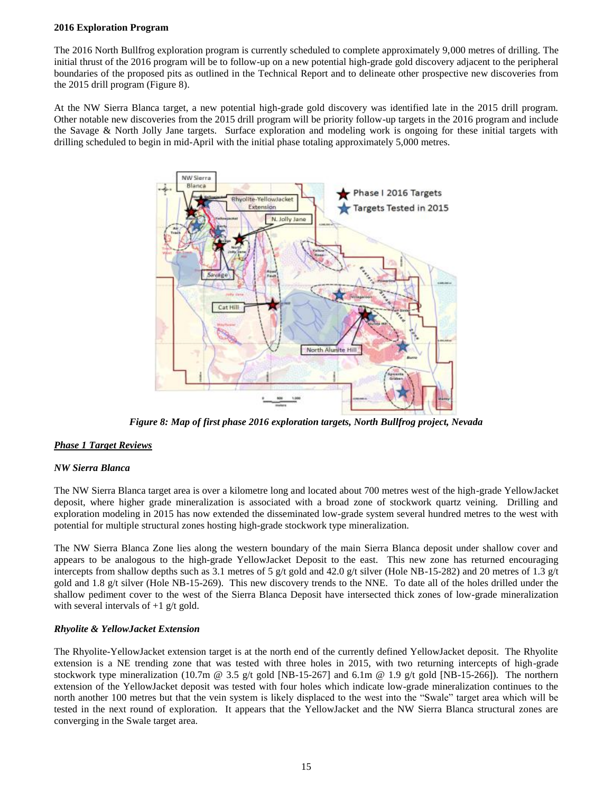## **2016 Exploration Program**

The 2016 North Bullfrog exploration program is currently scheduled to complete approximately 9,000 metres of drilling. The initial thrust of the 2016 program will be to follow-up on a new potential high-grade gold discovery adjacent to the peripheral boundaries of the proposed pits as outlined in the Technical Report and to delineate other prospective new discoveries from the 2015 drill program (Figure 8).

At the NW Sierra Blanca target, a new potential high-grade gold discovery was identified late in the 2015 drill program. Other notable new discoveries from the 2015 drill program will be priority follow-up targets in the 2016 program and include the Savage & North Jolly Jane targets. Surface exploration and modeling work is ongoing for these initial targets with drilling scheduled to begin in mid-April with the initial phase totaling approximately 5,000 metres.



*Figure 8: Map of first phase 2016 exploration targets, North Bullfrog project, Nevada*

# *Phase 1 Target Reviews*

## *NW Sierra Blanca*

The NW Sierra Blanca target area is over a kilometre long and located about 700 metres west of the high-grade YellowJacket deposit, where higher grade mineralization is associated with a broad zone of stockwork quartz veining. Drilling and exploration modeling in 2015 has now extended the disseminated low-grade system several hundred metres to the west with potential for multiple structural zones hosting high-grade stockwork type mineralization.

The NW Sierra Blanca Zone lies along the western boundary of the main Sierra Blanca deposit under shallow cover and appears to be analogous to the high-grade YellowJacket Deposit to the east. This new zone has returned encouraging intercepts from shallow depths such as 3.1 metres of 5 g/t gold and 42.0 g/t silver (Hole NB-15-282) and 20 metres of 1.3 g/t gold and 1.8 g/t silver (Hole NB-15-269). This new discovery trends to the NNE. To date all of the holes drilled under the shallow pediment cover to the west of the Sierra Blanca Deposit have intersected thick zones of low-grade mineralization with several intervals of  $+1$  g/t gold.

## *Rhyolite & YellowJacket Extension*

The Rhyolite-YellowJacket extension target is at the north end of the currently defined YellowJacket deposit. The Rhyolite extension is a NE trending zone that was tested with three holes in 2015, with two returning intercepts of high-grade stockwork type mineralization (10.7m  $\omega$  3.5 g/t gold [NB-15-267] and 6.1m  $\omega$  1.9 g/t gold [NB-15-266]). The northern extension of the YellowJacket deposit was tested with four holes which indicate low-grade mineralization continues to the north another 100 metres but that the vein system is likely displaced to the west into the "Swale" target area which will be tested in the next round of exploration. It appears that the YellowJacket and the NW Sierra Blanca structural zones are converging in the Swale target area.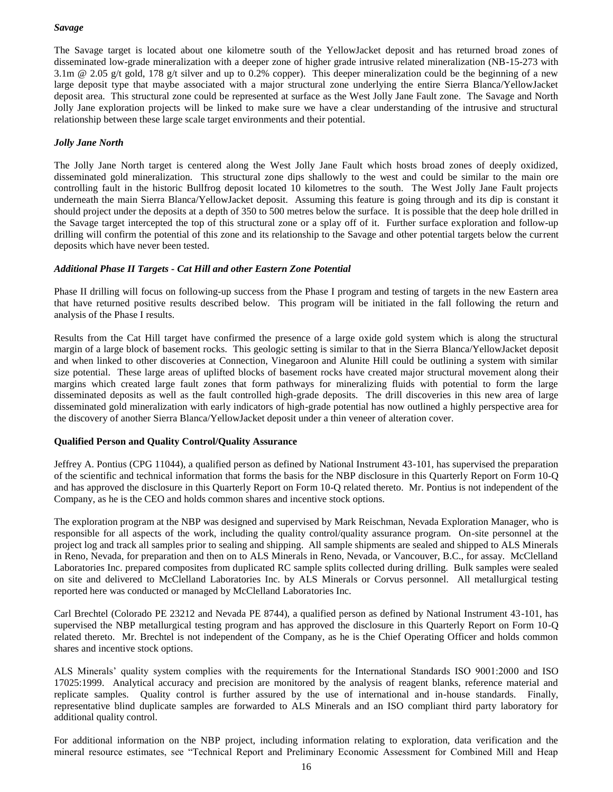## *Savage*

The Savage target is located about one kilometre south of the YellowJacket deposit and has returned broad zones of disseminated low-grade mineralization with a deeper zone of higher grade intrusive related mineralization (NB-15-273 with 3.1m @ 2.05 g/t gold, 178 g/t silver and up to 0.2% copper). This deeper mineralization could be the beginning of a new large deposit type that maybe associated with a major structural zone underlying the entire Sierra Blanca/YellowJacket deposit area. This structural zone could be represented at surface as the West Jolly Jane Fault zone. The Savage and North Jolly Jane exploration projects will be linked to make sure we have a clear understanding of the intrusive and structural relationship between these large scale target environments and their potential.

## *Jolly Jane North*

The Jolly Jane North target is centered along the West Jolly Jane Fault which hosts broad zones of deeply oxidized, disseminated gold mineralization. This structural zone dips shallowly to the west and could be similar to the main ore controlling fault in the historic Bullfrog deposit located 10 kilometres to the south. The West Jolly Jane Fault projects underneath the main Sierra Blanca/YellowJacket deposit. Assuming this feature is going through and its dip is constant it should project under the deposits at a depth of 350 to 500 metres below the surface. It is possible that the deep hole drilled in the Savage target intercepted the top of this structural zone or a splay off of it. Further surface exploration and follow-up drilling will confirm the potential of this zone and its relationship to the Savage and other potential targets below the current deposits which have never been tested.

## *Additional Phase II Targets - Cat Hill and other Eastern Zone Potential*

Phase II drilling will focus on following-up success from the Phase I program and testing of targets in the new Eastern area that have returned positive results described below. This program will be initiated in the fall following the return and analysis of the Phase I results.

Results from the Cat Hill target have confirmed the presence of a large oxide gold system which is along the structural margin of a large block of basement rocks. This geologic setting is similar to that in the Sierra Blanca/YellowJacket deposit and when linked to other discoveries at Connection, Vinegaroon and Alunite Hill could be outlining a system with similar size potential. These large areas of uplifted blocks of basement rocks have created major structural movement along their margins which created large fault zones that form pathways for mineralizing fluids with potential to form the large disseminated deposits as well as the fault controlled high-grade deposits. The drill discoveries in this new area of large disseminated gold mineralization with early indicators of high-grade potential has now outlined a highly perspective area for the discovery of another Sierra Blanca/YellowJacket deposit under a thin veneer of alteration cover.

# **Qualified Person and Quality Control/Quality Assurance**

Jeffrey A. Pontius (CPG 11044), a qualified person as defined by National Instrument 43-101, has supervised the preparation of the scientific and technical information that forms the basis for the NBP disclosure in this Quarterly Report on Form 10-Q and has approved the disclosure in this Quarterly Report on Form 10-Q related thereto. Mr. Pontius is not independent of the Company, as he is the CEO and holds common shares and incentive stock options.

The exploration program at the NBP was designed and supervised by Mark Reischman, Nevada Exploration Manager, who is responsible for all aspects of the work, including the quality control/quality assurance program. On-site personnel at the project log and track all samples prior to sealing and shipping. All sample shipments are sealed and shipped to ALS Minerals in Reno, Nevada, for preparation and then on to ALS Minerals in Reno, Nevada, or Vancouver, B.C., for assay. McClelland Laboratories Inc. prepared composites from duplicated RC sample splits collected during drilling. Bulk samples were sealed on site and delivered to McClelland Laboratories Inc. by ALS Minerals or Corvus personnel. All metallurgical testing reported here was conducted or managed by McClelland Laboratories Inc.

Carl Brechtel (Colorado PE 23212 and Nevada PE 8744), a qualified person as defined by National Instrument 43-101, has supervised the NBP metallurgical testing program and has approved the disclosure in this Quarterly Report on Form 10-Q related thereto. Mr. Brechtel is not independent of the Company, as he is the Chief Operating Officer and holds common shares and incentive stock options.

ALS Minerals' quality system complies with the requirements for the International Standards ISO 9001:2000 and ISO 17025:1999. Analytical accuracy and precision are monitored by the analysis of reagent blanks, reference material and replicate samples. Quality control is further assured by the use of international and in-house standards. Finally, representative blind duplicate samples are forwarded to ALS Minerals and an ISO compliant third party laboratory for additional quality control.

For additional information on the NBP project, including information relating to exploration, data verification and the mineral resource estimates, see "Technical Report and Preliminary Economic Assessment for Combined Mill and Heap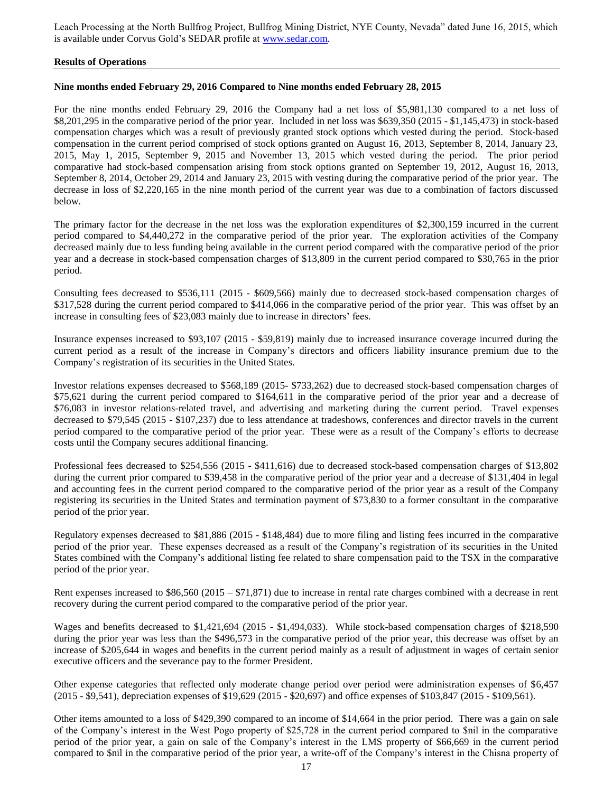Leach Processing at the North Bullfrog Project, Bullfrog Mining District, NYE County, Nevada" dated June 16, 2015, which is available under Corvus Gold's SEDAR profile at www.sedar.com.

## **Results of Operations**

## **Nine months ended February 29, 2016 Compared to Nine months ended February 28, 2015**

For the nine months ended February 29, 2016 the Company had a net loss of \$5,981,130 compared to a net loss of \$8,201,295 in the comparative period of the prior year. Included in net loss was \$639,350 (2015 - \$1,145,473) in stock-based compensation charges which was a result of previously granted stock options which vested during the period. Stock-based compensation in the current period comprised of stock options granted on August 16, 2013, September 8, 2014, January 23, 2015, May 1, 2015, September 9, 2015 and November 13, 2015 which vested during the period. The prior period comparative had stock-based compensation arising from stock options granted on September 19, 2012, August 16, 2013, September 8, 2014, October 29, 2014 and January 23, 2015 with vesting during the comparative period of the prior year. The decrease in loss of \$2,220,165 in the nine month period of the current year was due to a combination of factors discussed below.

The primary factor for the decrease in the net loss was the exploration expenditures of \$2,300,159 incurred in the current period compared to \$4,440,272 in the comparative period of the prior year. The exploration activities of the Company decreased mainly due to less funding being available in the current period compared with the comparative period of the prior year and a decrease in stock-based compensation charges of \$13,809 in the current period compared to \$30,765 in the prior period.

Consulting fees decreased to \$536,111 (2015 - \$609,566) mainly due to decreased stock-based compensation charges of \$317,528 during the current period compared to \$414,066 in the comparative period of the prior year. This was offset by an increase in consulting fees of \$23,083 mainly due to increase in directors' fees.

Insurance expenses increased to \$93,107 (2015 - \$59,819) mainly due to increased insurance coverage incurred during the current period as a result of the increase in Company's directors and officers liability insurance premium due to the Company's registration of its securities in the United States.

Investor relations expenses decreased to \$568,189 (2015- \$733,262) due to decreased stock-based compensation charges of \$75,621 during the current period compared to \$164,611 in the comparative period of the prior year and a decrease of \$76,083 in investor relations-related travel, and advertising and marketing during the current period. Travel expenses decreased to \$79,545 (2015 - \$107,237) due to less attendance at tradeshows, conferences and director travels in the current period compared to the comparative period of the prior year. These were as a result of the Company's efforts to decrease costs until the Company secures additional financing.

Professional fees decreased to \$254,556 (2015 - \$411,616) due to decreased stock-based compensation charges of \$13,802 during the current prior compared to \$39,458 in the comparative period of the prior year and a decrease of \$131,404 in legal and accounting fees in the current period compared to the comparative period of the prior year as a result of the Company registering its securities in the United States and termination payment of \$73,830 to a former consultant in the comparative period of the prior year.

Regulatory expenses decreased to \$81,886 (2015 - \$148,484) due to more filing and listing fees incurred in the comparative period of the prior year. These expenses decreased as a result of the Company's registration of its securities in the United States combined with the Company's additional listing fee related to share compensation paid to the TSX in the comparative period of the prior year.

Rent expenses increased to \$86,560 (2015 – \$71,871) due to increase in rental rate charges combined with a decrease in rent recovery during the current period compared to the comparative period of the prior year.

Wages and benefits decreased to \$1,421,694 (2015 - \$1,494,033). While stock-based compensation charges of \$218,590 during the prior year was less than the \$496,573 in the comparative period of the prior year, this decrease was offset by an increase of \$205,644 in wages and benefits in the current period mainly as a result of adjustment in wages of certain senior executive officers and the severance pay to the former President.

Other expense categories that reflected only moderate change period over period were administration expenses of \$6,457 (2015 - \$9,541), depreciation expenses of \$19,629 (2015 - \$20,697) and office expenses of \$103,847 (2015 - \$109,561).

Other items amounted to a loss of \$429,390 compared to an income of \$14,664 in the prior period. There was a gain on sale of the Company's interest in the West Pogo property of \$25,728 in the current period compared to \$nil in the comparative period of the prior year, a gain on sale of the Company's interest in the LMS property of \$66,669 in the current period compared to \$nil in the comparative period of the prior year, a write-off of the Company's interest in the Chisna property of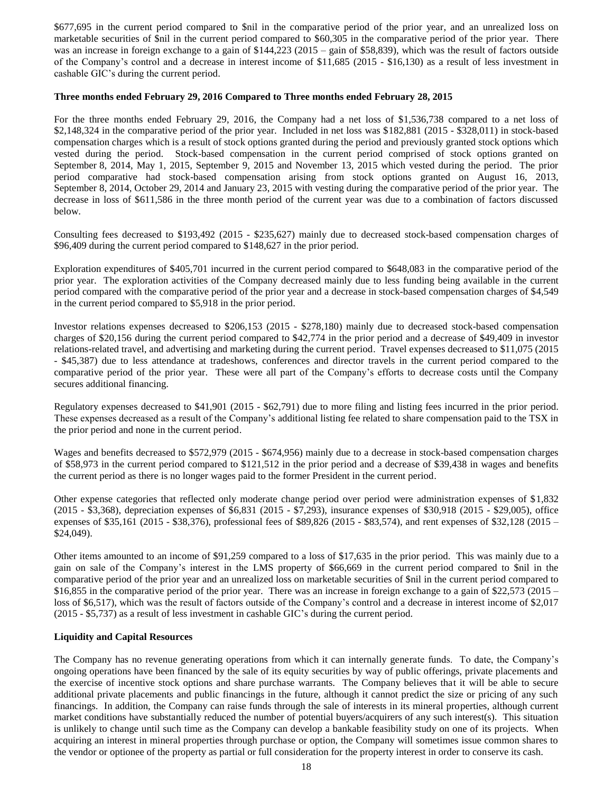\$677,695 in the current period compared to \$nil in the comparative period of the prior year, and an unrealized loss on marketable securities of \$nil in the current period compared to \$60,305 in the comparative period of the prior year. There was an increase in foreign exchange to a gain of \$144,223 (2015 – gain of \$58,839), which was the result of factors outside of the Company's control and a decrease in interest income of \$11,685 (2015 - \$16,130) as a result of less investment in cashable GIC's during the current period.

## **Three months ended February 29, 2016 Compared to Three months ended February 28, 2015**

For the three months ended February 29, 2016, the Company had a net loss of \$1,536,738 compared to a net loss of \$2,148,324 in the comparative period of the prior year. Included in net loss was \$182,881 (2015 - \$328,011) in stock-based compensation charges which is a result of stock options granted during the period and previously granted stock options which vested during the period. Stock-based compensation in the current period comprised of stock options granted on September 8, 2014, May 1, 2015, September 9, 2015 and November 13, 2015 which vested during the period. The prior period comparative had stock-based compensation arising from stock options granted on August 16, 2013, September 8, 2014, October 29, 2014 and January 23, 2015 with vesting during the comparative period of the prior year. The decrease in loss of \$611,586 in the three month period of the current year was due to a combination of factors discussed below.

Consulting fees decreased to \$193,492 (2015 - \$235,627) mainly due to decreased stock-based compensation charges of \$96,409 during the current period compared to \$148,627 in the prior period.

Exploration expenditures of \$405,701 incurred in the current period compared to \$648,083 in the comparative period of the prior year. The exploration activities of the Company decreased mainly due to less funding being available in the current period compared with the comparative period of the prior year and a decrease in stock-based compensation charges of \$4,549 in the current period compared to \$5,918 in the prior period.

Investor relations expenses decreased to \$206,153 (2015 - \$278,180) mainly due to decreased stock-based compensation charges of \$20,156 during the current period compared to \$42,774 in the prior period and a decrease of \$49,409 in investor relations-related travel, and advertising and marketing during the current period. Travel expenses decreased to \$11,075 (2015 - \$45,387) due to less attendance at tradeshows, conferences and director travels in the current period compared to the comparative period of the prior year. These were all part of the Company's efforts to decrease costs until the Company secures additional financing.

Regulatory expenses decreased to \$41,901 (2015 - \$62,791) due to more filing and listing fees incurred in the prior period. These expenses decreased as a result of the Company's additional listing fee related to share compensation paid to the TSX in the prior period and none in the current period.

Wages and benefits decreased to \$572,979 (2015 - \$674,956) mainly due to a decrease in stock-based compensation charges of \$58,973 in the current period compared to \$121,512 in the prior period and a decrease of \$39,438 in wages and benefits the current period as there is no longer wages paid to the former President in the current period.

Other expense categories that reflected only moderate change period over period were administration expenses of \$1,832 (2015 - \$3,368), depreciation expenses of \$6,831 (2015 - \$7,293), insurance expenses of \$30,918 (2015 - \$29,005), office expenses of \$35,161 (2015 - \$38,376), professional fees of \$89,826 (2015 - \$83,574), and rent expenses of \$32,128 (2015 – \$24,049).

Other items amounted to an income of \$91,259 compared to a loss of \$17,635 in the prior period. This was mainly due to a gain on sale of the Company's interest in the LMS property of \$66,669 in the current period compared to \$nil in the comparative period of the prior year and an unrealized loss on marketable securities of \$nil in the current period compared to \$16,855 in the comparative period of the prior year. There was an increase in foreign exchange to a gain of \$22,573 (2015 – loss of \$6,517), which was the result of factors outside of the Company's control and a decrease in interest income of \$2,017 (2015 - \$5,737) as a result of less investment in cashable GIC's during the current period.

## **Liquidity and Capital Resources**

The Company has no revenue generating operations from which it can internally generate funds. To date, the Company's ongoing operations have been financed by the sale of its equity securities by way of public offerings, private placements and the exercise of incentive stock options and share purchase warrants. The Company believes that it will be able to secure additional private placements and public financings in the future, although it cannot predict the size or pricing of any such financings. In addition, the Company can raise funds through the sale of interests in its mineral properties, although current market conditions have substantially reduced the number of potential buyers/acquirers of any such interest(s). This situation is unlikely to change until such time as the Company can develop a bankable feasibility study on one of its projects. When acquiring an interest in mineral properties through purchase or option, the Company will sometimes issue common shares to the vendor or optionee of the property as partial or full consideration for the property interest in order to conserve its cash.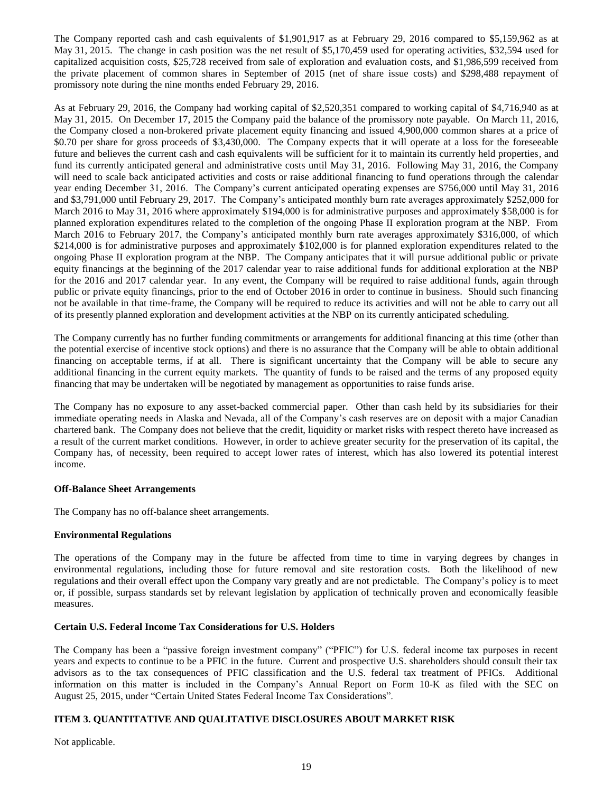The Company reported cash and cash equivalents of \$1,901,917 as at February 29, 2016 compared to \$5,159,962 as at May 31, 2015. The change in cash position was the net result of \$5,170,459 used for operating activities, \$32,594 used for capitalized acquisition costs, \$25,728 received from sale of exploration and evaluation costs, and \$1,986,599 received from the private placement of common shares in September of 2015 (net of share issue costs) and \$298,488 repayment of promissory note during the nine months ended February 29, 2016.

As at February 29, 2016, the Company had working capital of \$2,520,351 compared to working capital of \$4,716,940 as at May 31, 2015. On December 17, 2015 the Company paid the balance of the promissory note payable. On March 11, 2016, the Company closed a non-brokered private placement equity financing and issued 4,900,000 common shares at a price of \$0.70 per share for gross proceeds of \$3,430,000. The Company expects that it will operate at a loss for the foreseeable future and believes the current cash and cash equivalents will be sufficient for it to maintain its currently held properties, and fund its currently anticipated general and administrative costs until May 31, 2016. Following May 31, 2016, the Company will need to scale back anticipated activities and costs or raise additional financing to fund operations through the calendar year ending December 31, 2016. The Company's current anticipated operating expenses are \$756,000 until May 31, 2016 and \$3,791,000 until February 29, 2017. The Company's anticipated monthly burn rate averages approximately \$252,000 for March 2016 to May 31, 2016 where approximately \$194,000 is for administrative purposes and approximately \$58,000 is for planned exploration expenditures related to the completion of the ongoing Phase II exploration program at the NBP. From March 2016 to February 2017, the Company's anticipated monthly burn rate averages approximately \$316,000, of which \$214,000 is for administrative purposes and approximately \$102,000 is for planned exploration expenditures related to the ongoing Phase II exploration program at the NBP. The Company anticipates that it will pursue additional public or private equity financings at the beginning of the 2017 calendar year to raise additional funds for additional exploration at the NBP for the 2016 and 2017 calendar year. In any event, the Company will be required to raise additional funds, again through public or private equity financings, prior to the end of October 2016 in order to continue in business. Should such financing not be available in that time-frame, the Company will be required to reduce its activities and will not be able to carry out all of its presently planned exploration and development activities at the NBP on its currently anticipated scheduling.

The Company currently has no further funding commitments or arrangements for additional financing at this time (other than the potential exercise of incentive stock options) and there is no assurance that the Company will be able to obtain additional financing on acceptable terms, if at all. There is significant uncertainty that the Company will be able to secure any additional financing in the current equity markets. The quantity of funds to be raised and the terms of any proposed equity financing that may be undertaken will be negotiated by management as opportunities to raise funds arise.

The Company has no exposure to any asset-backed commercial paper. Other than cash held by its subsidiaries for their immediate operating needs in Alaska and Nevada, all of the Company's cash reserves are on deposit with a major Canadian chartered bank. The Company does not believe that the credit, liquidity or market risks with respect thereto have increased as a result of the current market conditions. However, in order to achieve greater security for the preservation of its capital, the Company has, of necessity, been required to accept lower rates of interest, which has also lowered its potential interest income.

# **Off-Balance Sheet Arrangements**

The Company has no off-balance sheet arrangements.

# **Environmental Regulations**

The operations of the Company may in the future be affected from time to time in varying degrees by changes in environmental regulations, including those for future removal and site restoration costs. Both the likelihood of new regulations and their overall effect upon the Company vary greatly and are not predictable. The Company's policy is to meet or, if possible, surpass standards set by relevant legislation by application of technically proven and economically feasible measures.

# **Certain U.S. Federal Income Tax Considerations for U.S. Holders**

The Company has been a "passive foreign investment company" ("PFIC") for U.S. federal income tax purposes in recent years and expects to continue to be a PFIC in the future. Current and prospective U.S. shareholders should consult their tax advisors as to the tax consequences of PFIC classification and the U.S. federal tax treatment of PFICs. Additional information on this matter is included in the Company's Annual Report on Form 10-K as filed with the SEC on August 25, 2015, under "Certain United States Federal Income Tax Considerations".

# **ITEM 3. QUANTITATIVE AND QUALITATIVE DISCLOSURES ABOUT MARKET RISK**

Not applicable.